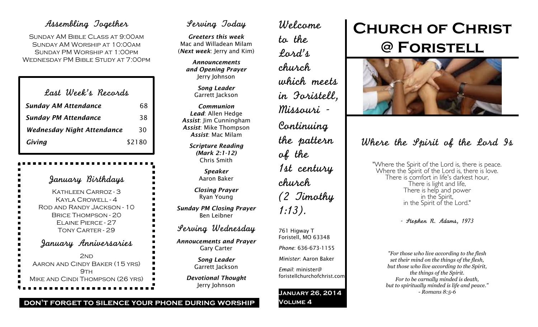## Assembling Together

Sunday AM Bible Class at 9:00am Sunday AM Worship at 10:00am Sunday PM Worship at 1:00pm Wednesday PM Bible Study at 7:00pm

| Last Week's Records               |        |
|-----------------------------------|--------|
| <b>Sunday AM Attendance</b>       | 68     |
| <b>Sunday PM Attendance</b>       | 38     |
| <b>Wednesday Night Attendance</b> | 30     |
| Giving                            | \$2180 |

January Birthdays Kathleen Carroz - 3 Kayla Crowell - 4 Rod and Randy Jackson - 10 Brice Thompson - 20 Elaine Pierce - 27 Tony Carter - 29 January Anniversaries 2<sub>ND</sub> Aaron and Cindy Baker (15 yrs)  $9TH$ Mike and Cindi Thompson (26 yrs)

## Serving Today

*Greeters this week* Mac and Willadean Milam (*Next week*: Jerry and Kim)

> *Announcements and Opening Prayer* Jerry Johnson

> > *Song Leader* Garrett Jackson

*Communion Lead*: Allen Hedge *Assist*: Jim Cunningham *Assist*: Mike Thompson *Assist*: Mac Milam

> *Scripture Reading (Mark 2:1-12)* Chris Smith

> > *Speaker* Aaron Baker

*Closing Prayer* Ryan Young

*Sunday PM Closing Prayer* Ben Leibner

Serving Wednesday

*Annoucements and Prayer* Gary Carter

> *Song Leader* Garrett Jackson

*Devotional Thought* Jerry Johnson

Welcome to the Lord's church which meets in Foristell, Missouri - Continuing the pattern of the 1st century church (2 Timothy 1:13). 761 Higway T Foristell, MO 63348 *Phone*: 636-673-1155 *Minister*: Aaron Baker

*Email*: minister@

**Volume 4**

foristellchurchofchrist.com

**January 26, 2014**

# **Church of Christ @ Foristell**



Where the Spirit of the Lord Is

"Where the Spirit of the Lord is, there is peace. Where the Spirit of the Lord is, there is love. There is comfort in life's darkest hour, There is light and life, There is help and power in the Spirit of the Lord."

- Stephen R. Adams, 1973

*"For those who live according to the flesh set their mind on the things of the flesh, but those who live according to the Spirit, the things of the Spirit. For to be carnally minded is death, but to spiritually minded is life and peace." - Romans 8:5-6*

**don't forget to silence your phone during worship**